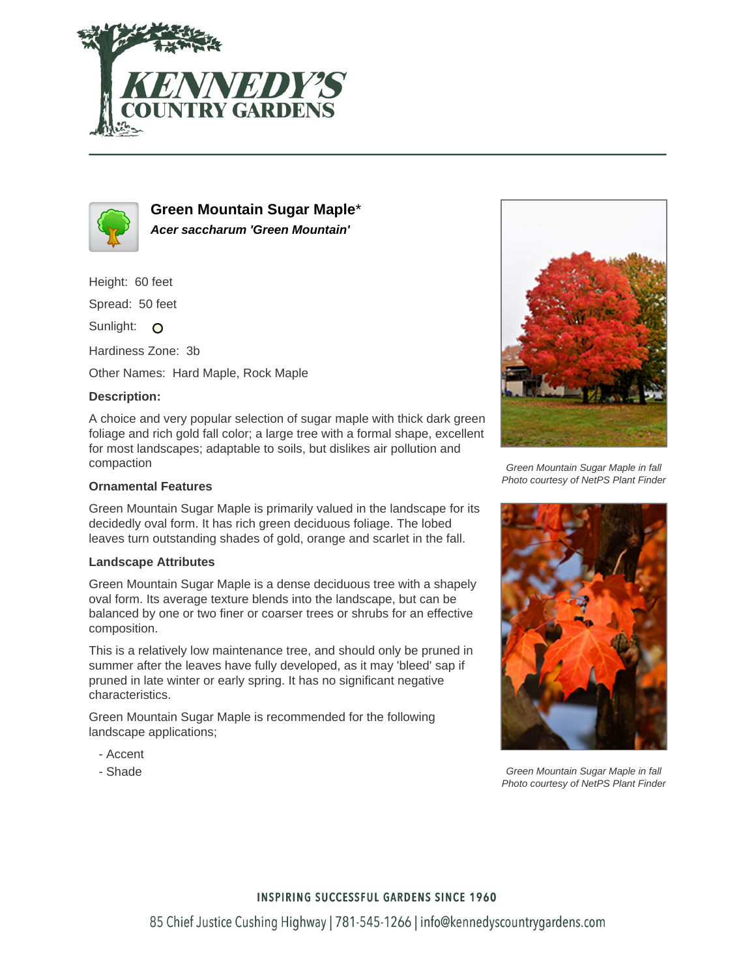



**Green Mountain Sugar Maple**\* **Acer saccharum 'Green Mountain'**

Height: 60 feet

Spread: 50 feet

Sunlight: O

Hardiness Zone: 3b

Other Names: Hard Maple, Rock Maple

## **Description:**

A choice and very popular selection of sugar maple with thick dark green foliage and rich gold fall color; a large tree with a formal shape, excellent for most landscapes; adaptable to soils, but dislikes air pollution and compaction

### **Ornamental Features**

Green Mountain Sugar Maple is primarily valued in the landscape for its decidedly oval form. It has rich green deciduous foliage. The lobed leaves turn outstanding shades of gold, orange and scarlet in the fall.

#### **Landscape Attributes**

Green Mountain Sugar Maple is a dense deciduous tree with a shapely oval form. Its average texture blends into the landscape, but can be balanced by one or two finer or coarser trees or shrubs for an effective composition.

This is a relatively low maintenance tree, and should only be pruned in summer after the leaves have fully developed, as it may 'bleed' sap if pruned in late winter or early spring. It has no significant negative characteristics.

Green Mountain Sugar Maple is recommended for the following landscape applications;

- Accent
- Shade



Green Mountain Sugar Maple in fall Photo courtesy of NetPS Plant Finder



Green Mountain Sugar Maple in fall Photo courtesy of NetPS Plant Finder

## **INSPIRING SUCCESSFUL GARDENS SINCE 1960**